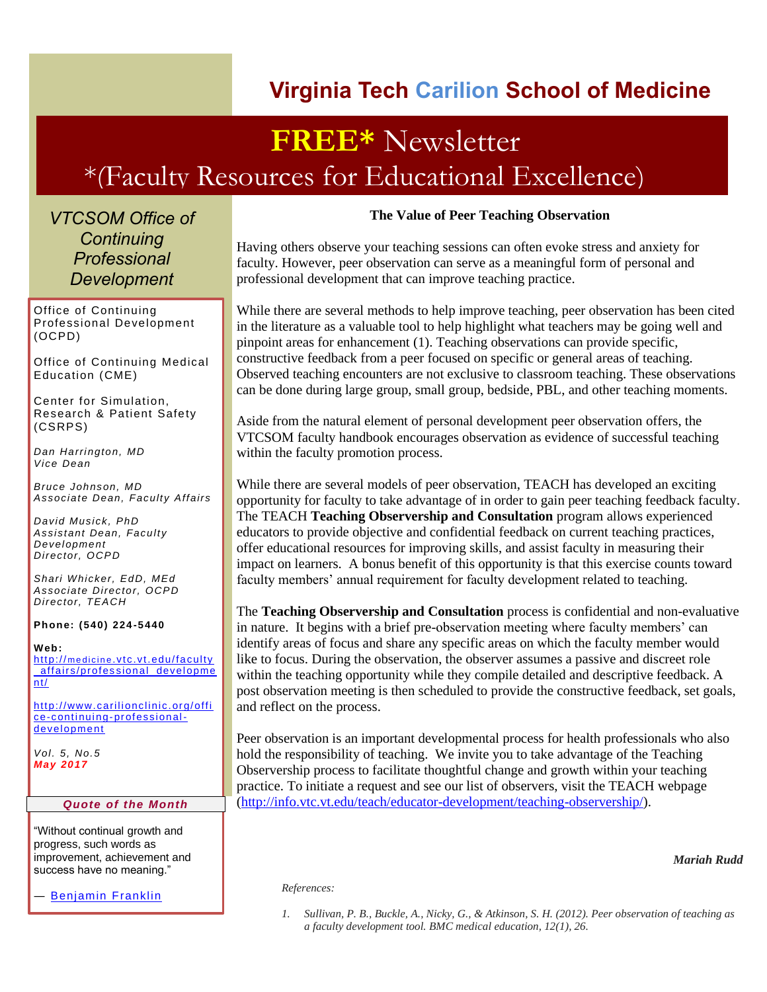### **Virginia Tech Carilion School of Medicine**

## **FREE\*** Newsletter \*(Faculty Resources for Educational Excellence)

*VTCSOM Office of Continuing Professional Development*

Office of Continuing Professional Development (OCPD)

Office of Continuing Medical Education (CME)

Center for Simulation, Research & Patient Safety (CSRPS)

*Dan Harrington, MD Vice Dean*

*Bruce Johnson, MD Associate Dean, Faculty Affairs*

*David Musick, PhD Assistant Dean, Faculty Development Director, OCPD*

*Shari Whicker, EdD, MEd Associate Director, OCPD Director, TEACH*

**Phone: (540) 224 -5440**

**Web:** http://medicine[.vtc.vt.edu/faculty](http://medicine.vtc.vt.edu/faculty_affairs/professional_development/) \_affairs/profes [sional\\_developme](http://medicine.vtc.vt.edu/faculty_affairs/professional_development/)  $\overline{\mathsf{nt}/\ }$ 

[http://www.carilionclinic.org/offi](http://www.carilionclinic.org/office-continuing-professional-development) [ce-continuing-professional](http://www.carilionclinic.org/office-continuing-professional-development)[development](http://www.carilionclinic.org/office-continuing-professional-development)

*Vol. 5, No.5 May 2017*

#### *Quote of the Month*

"Without continual growth and progress, such words as improvement, achievement and success have no meaning."

― [Benjamin](https://www.goodreads.com/author/show/4491185.Steve_Maraboli) Franklin

#### **The Value of Peer Teaching Observation**

Having others observe your teaching sessions can often evoke stress and anxiety for faculty. However, peer observation can serve as a meaningful form of personal and professional development that can improve teaching practice.

While there are several methods to help improve teaching, peer observation has been cited in the literature as a valuable tool to help highlight what teachers may be going well and pinpoint areas for enhancement (1). Teaching observations can provide specific, constructive feedback from a peer focused on specific or general areas of teaching. Observed teaching encounters are not exclusive to classroom teaching. These observations can be done during large group, small group, bedside, PBL, and other teaching moments.

Aside from the natural element of personal development peer observation offers, the VTCSOM faculty handbook encourages observation as evidence of successful teaching within the faculty promotion process.

While there are several models of peer observation, TEACH has developed an exciting opportunity for faculty to take advantage of in order to gain peer teaching feedback faculty. The TEACH **Teaching Observership and Consultation** program allows experienced educators to provide objective and confidential feedback on current teaching practices, offer educational resources for improving skills, and assist faculty in measuring their impact on learners. A bonus benefit of this opportunity is that this exercise counts toward faculty members' annual requirement for faculty development related to teaching.

The **Teaching Observership and Consultation** process is confidential and non-evaluative in nature. It begins with a brief pre-observation meeting where faculty members' can identify areas of focus and share any specific areas on which the faculty member would like to focus. During the observation, the observer assumes a passive and discreet role within the teaching opportunity while they compile detailed and descriptive feedback. A post observation meeting is then scheduled to provide the constructive feedback, set goals, and reflect on the process.

Peer observation is an important developmental process for health professionals who also hold the responsibility of teaching. We invite you to take advantage of the Teaching Observership process to facilitate thoughtful change and growth within your teaching practice. To initiate a request and see our list of observers, visit the TEACH webpage [\(http://info.vtc.vt.edu/teach/educator-development/teaching-observership/\)](http://info.vtc.vt.edu/teach/educator-development/teaching-observership/).

#### *Mariah Rudd*

#### *References:*

*1. Sullivan, P. B., Buckle, A., Nicky, G., & Atkinson, S. H. (2012). Peer observation of teaching as a faculty development tool. BMC medical education, 12(1), 26.*